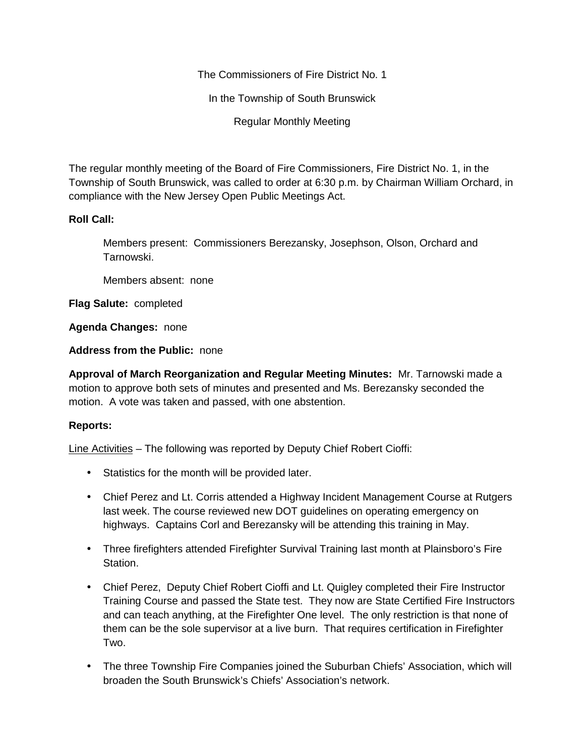The Commissioners of Fire District No. 1

In the Township of South Brunswick

Regular Monthly Meeting

The regular monthly meeting of the Board of Fire Commissioners, Fire District No. 1, in the Township of South Brunswick, was called to order at 6:30 p.m. by Chairman William Orchard, in compliance with the New Jersey Open Public Meetings Act.

## **Roll Call:**

Members present: Commissioners Berezansky, Josephson, Olson, Orchard and Tarnowski.

Members absent: none

**Flag Salute:** completed

**Agenda Changes:** none

**Address from the Public:** none

**Approval of March Reorganization and Regular Meeting Minutes:** Mr. Tarnowski made a motion to approve both sets of minutes and presented and Ms. Berezansky seconded the motion. A vote was taken and passed, with one abstention.

## **Reports:**

Line Activities – The following was reported by Deputy Chief Robert Cioffi:

- Statistics for the month will be provided later.
- Chief Perez and Lt. Corris attended a Highway Incident Management Course at Rutgers last week. The course reviewed new DOT guidelines on operating emergency on highways. Captains Corl and Berezansky will be attending this training in May.
- Three firefighters attended Firefighter Survival Training last month at Plainsboro's Fire Station.
- Chief Perez, Deputy Chief Robert Cioffi and Lt. Quigley completed their Fire Instructor Training Course and passed the State test. They now are State Certified Fire Instructors and can teach anything, at the Firefighter One level. The only restriction is that none of them can be the sole supervisor at a live burn. That requires certification in Firefighter Two.
- The three Township Fire Companies joined the Suburban Chiefs' Association, which will broaden the South Brunswick's Chiefs' Association's network.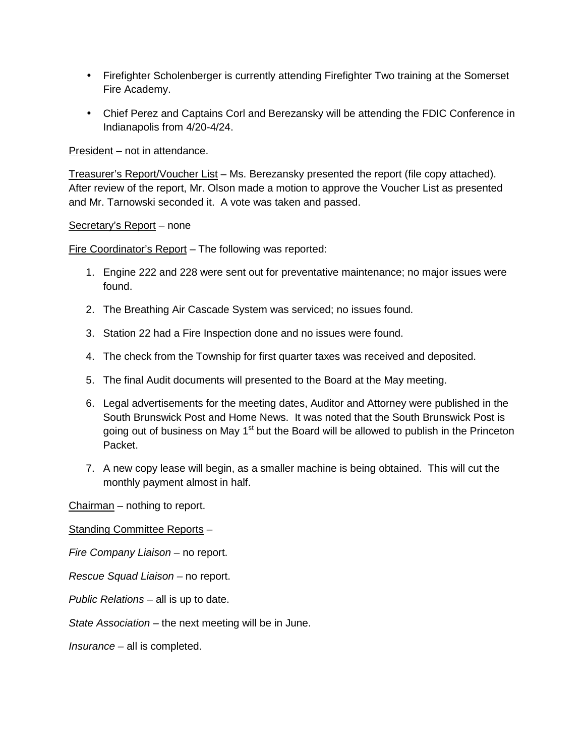- Firefighter Scholenberger is currently attending Firefighter Two training at the Somerset Fire Academy.
- Chief Perez and Captains Corl and Berezansky will be attending the FDIC Conference in Indianapolis from 4/20-4/24.

President – not in attendance.

Treasurer's Report/Voucher List – Ms. Berezansky presented the report (file copy attached). After review of the report, Mr. Olson made a motion to approve the Voucher List as presented and Mr. Tarnowski seconded it. A vote was taken and passed.

Secretary's Report – none

Fire Coordinator's Report – The following was reported:

- 1. Engine 222 and 228 were sent out for preventative maintenance; no major issues were found.
- 2. The Breathing Air Cascade System was serviced; no issues found.
- 3. Station 22 had a Fire Inspection done and no issues were found.
- 4. The check from the Township for first quarter taxes was received and deposited.
- 5. The final Audit documents will presented to the Board at the May meeting.
- 6. Legal advertisements for the meeting dates, Auditor and Attorney were published in the South Brunswick Post and Home News. It was noted that the South Brunswick Post is going out of business on May 1<sup>st</sup> but the Board will be allowed to publish in the Princeton Packet.
- 7. A new copy lease will begin, as a smaller machine is being obtained. This will cut the monthly payment almost in half.

Chairman – nothing to report.

Standing Committee Reports –

*Fire Company Liaison –* no report.

*Rescue Squad Liaison –* no report.

*Public Relations –* all is up to date.

*State Association –* the next meeting will be in June.

*Insurance –* all is completed.